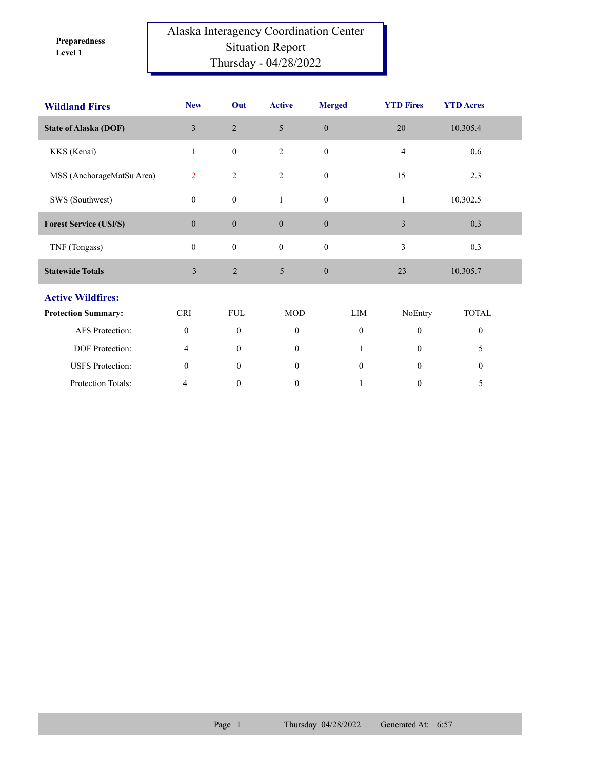**Level 1 Preparedness** 

## Alaska Interagency Coordination Center Situation Report Thursday - 04/28/2022

| <b>Wildland Fires</b>        | <b>New</b>       | Out              | <b>Active</b>    | <b>Merged</b>    | <b>YTD Fires</b>         | <b>YTD Acres</b> |  |
|------------------------------|------------------|------------------|------------------|------------------|--------------------------|------------------|--|
| <b>State of Alaska (DOF)</b> | $\overline{3}$   | 2                | 5                | $\boldsymbol{0}$ | $20\,$                   | 10,305.4         |  |
| KKS (Kenai)                  | $\mathbf{1}$     | $\boldsymbol{0}$ | 2                | $\boldsymbol{0}$ | $\overline{4}$           | 0.6              |  |
| MSS (AnchorageMatSu Area)    | $\overline{2}$   | $\overline{2}$   | 2                | $\boldsymbol{0}$ | 15                       | 2.3              |  |
| SWS (Southwest)              | $\theta$         | $\boldsymbol{0}$ | $\mathbf{1}$     | $\boldsymbol{0}$ | $\mathbf{1}$             | 10,302.5         |  |
| <b>Forest Service (USFS)</b> | $\boldsymbol{0}$ | $\boldsymbol{0}$ | $\boldsymbol{0}$ | $\boldsymbol{0}$ | $\mathfrak z$            | 0.3              |  |
| TNF (Tongass)                | $\Omega$         | $\boldsymbol{0}$ | $\mathbf{0}$     | $\boldsymbol{0}$ | 3                        | 0.3              |  |
| <b>Statewide Totals</b>      | 3                | $\overline{2}$   | 5                | $\boldsymbol{0}$ | 23                       | 10,305.7         |  |
| <b>Active Wildfires:</b>     |                  |                  |                  |                  |                          |                  |  |
| <b>Protection Summary:</b>   | <b>CRI</b>       | <b>FUL</b>       | <b>MOD</b>       |                  | LIM<br>NoEntry           | <b>TOTAL</b>     |  |
| AFS Protection:              | $\mathbf{0}$     | $\mathbf{0}$     | $\mathbf{0}$     |                  | $\theta$<br>$\theta$     | $\theta$         |  |
| DOF Protection:              | 4                | $\theta$         | $\overline{0}$   |                  | 0                        | 5                |  |
| <b>USFS</b> Protection:      | $\mathbf{0}$     | $\overline{0}$   | $\mathbf{0}$     |                  | $\mathbf{0}$<br>$\Omega$ | $\theta$         |  |
| Protection Totals:           | 4                | $\mathbf{0}$     | $\mathbf{0}$     |                  | $\boldsymbol{0}$         | 5                |  |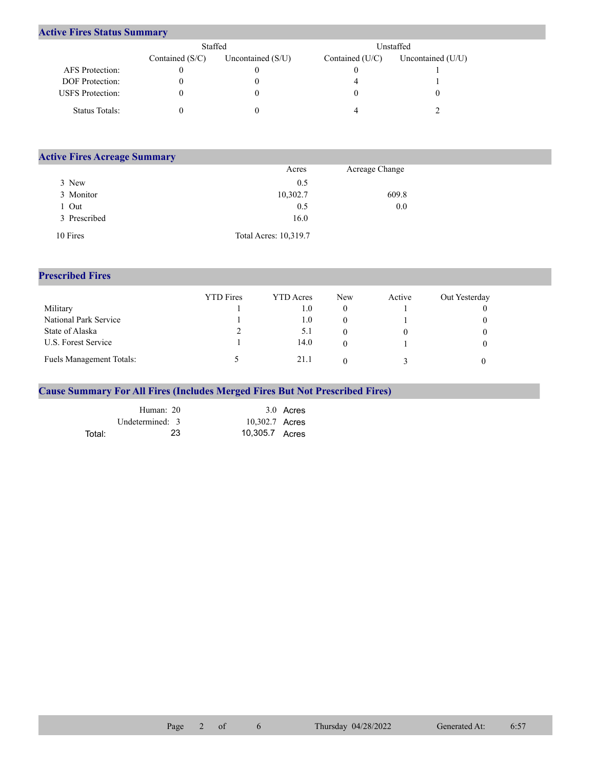## **Active Fires Status Summary**

|                         | Staffed           |                     | Unstaffed       |                     |  |  |
|-------------------------|-------------------|---------------------|-----------------|---------------------|--|--|
|                         | Contained $(S/C)$ | Uncontained $(S/U)$ | Contained (U/C) | Uncontained $(U/U)$ |  |  |
| AFS Protection:         |                   |                     |                 |                     |  |  |
| <b>DOF</b> Protection:  |                   |                     |                 |                     |  |  |
| <b>USFS</b> Protection: |                   |                     |                 |                     |  |  |
| Status Totals:          |                   |                     |                 |                     |  |  |

| <b>Active Fires Acreage Summary</b> |                       |                |  |
|-------------------------------------|-----------------------|----------------|--|
|                                     | Acres                 | Acreage Change |  |
| 3 New                               | 0.5                   |                |  |
| 3 Monitor                           | 10,302.7              | 609.8          |  |
| Out                                 | 0.5                   | 0.0            |  |
| 3 Prescribed                        | 16.0                  |                |  |
| 10 Fires                            | Total Acres: 10,319.7 |                |  |

## **Prescribed Fires**

|                                 | <b>YTD</b> Fires | <b>YTD</b> Acres | <b>New</b> | Active | Out Yesterday |
|---------------------------------|------------------|------------------|------------|--------|---------------|
| Military                        |                  | L.O              |            |        |               |
| National Park Service           |                  | 1.0              |            |        |               |
| State of Alaska                 |                  | 5.1              |            |        |               |
| U.S. Forest Service             |                  | 14.0             |            |        |               |
| <b>Fuels Management Totals:</b> |                  | 21.1             |            |        |               |

## **Cause Summary For All Fires (Includes Merged Fires But Not Prescribed Fires)**

|        | Human: 20       |                | 3.0 Acres |
|--------|-----------------|----------------|-----------|
|        | Undetermined: 3 | 10,302.7 Acres |           |
| Total: | 23              | 10,305.7 Acres |           |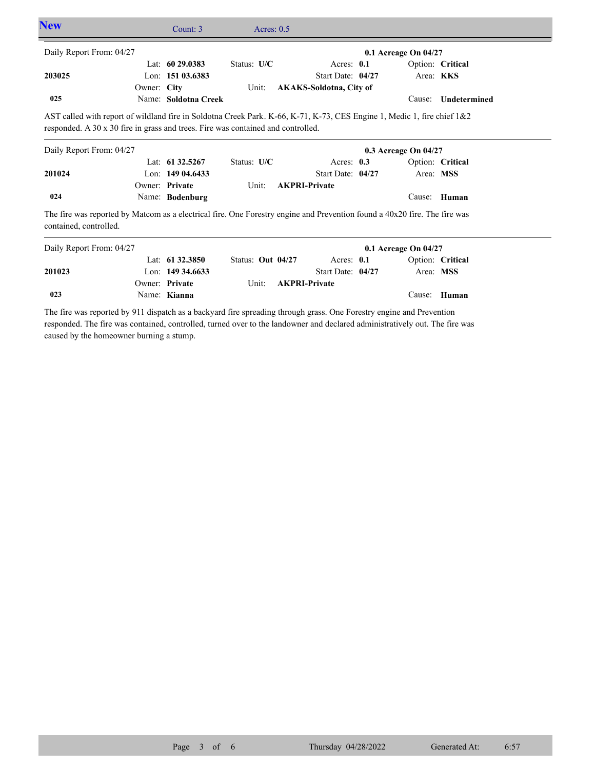| <b>New</b>                                                                                                                                          |             | Count: 3                          | Acres: $0.5$      |  |                                |                      |                  |
|-----------------------------------------------------------------------------------------------------------------------------------------------------|-------------|-----------------------------------|-------------------|--|--------------------------------|----------------------|------------------|
| Daily Report From: 04/27                                                                                                                            |             |                                   |                   |  |                                | 0.1 Acreage On 04/27 |                  |
|                                                                                                                                                     |             | Lat: $6029.0383$                  | Status: U/C       |  | Acres: $0.1$                   |                      | Option: Critical |
| 203025                                                                                                                                              |             | Lon: 151 03.6383                  |                   |  | Start Date: 04/27              |                      | Area: KKS        |
|                                                                                                                                                     | Owner: City |                                   | Unit:             |  | <b>AKAKS-Soldotna, City of</b> |                      |                  |
| 025                                                                                                                                                 |             | Name: Soldotna Creek              |                   |  |                                | Cause:               | Undetermined     |
|                                                                                                                                                     |             |                                   |                   |  |                                | 0.3 Acreage On 04/27 |                  |
| Daily Report From: 04/27                                                                                                                            |             |                                   |                   |  |                                |                      |                  |
|                                                                                                                                                     |             | Lat: 61 32.5267                   | Status: U/C       |  | Acres: $0.3$                   |                      | Option: Critical |
| 201024                                                                                                                                              |             | Lon: $14904.6433$                 |                   |  | Start Date: 04/27              |                      | Area: MSS        |
| 024                                                                                                                                                 |             | Owner: Private<br>Name: Bodenburg | Unit:             |  | <b>AKPRI-Private</b>           | Cause:               | Human            |
| The fire was reported by Matcom as a electrical fire. One Forestry engine and Prevention found a 40x20 fire. The fire was<br>contained, controlled. |             |                                   |                   |  |                                |                      |                  |
| Daily Report From: 04/27                                                                                                                            |             |                                   |                   |  |                                | 0.1 Acreage On 04/27 |                  |
|                                                                                                                                                     |             | Lat: 61 32.3850                   | Status: Out 04/27 |  | Acres: $0.1$                   |                      | Option: Critical |
| 201023                                                                                                                                              |             | Lon: $149\,34.6633$               |                   |  | Start Date: 04/27              |                      | Area: MSS        |

**Private AKPRI-Private**

Name: **Kianna** Cause: **Human 023** The fire was reported by 911 dispatch as a backyard fire spreading through grass. One Forestry engine and Prevention responded. The fire was contained, controlled, turned over to the landowner and declared administratively out. The fire was

Owner: Private Unit:

caused by the homeowner burning a stump.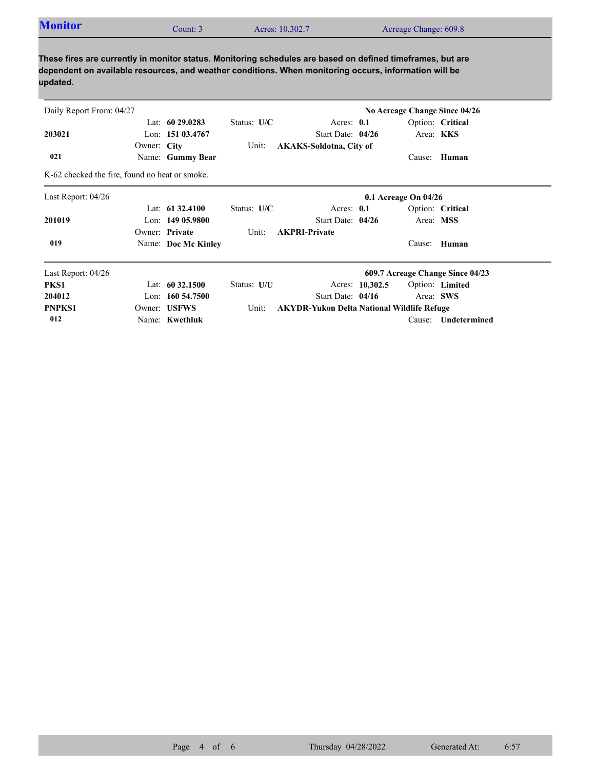| <b>Monitor</b> | Count: 3 | Acres: 10,302.7 | Acreage Change: 609.8 |  |
|----------------|----------|-----------------|-----------------------|--|
|----------------|----------|-----------------|-----------------------|--|

**These fires are currently in monitor status. Monitoring schedules are based on defined timeframes, but are dependent on available resources, and weather conditions. When monitoring occurs, information will be updated.**

| Daily Report From: 04/27                       |             |                     |               |                                                   |                 |                          | No Acreage Change Since 04/26    |
|------------------------------------------------|-------------|---------------------|---------------|---------------------------------------------------|-----------------|--------------------------|----------------------------------|
|                                                |             | Lat: $60\,29.0283$  | Status: $U/C$ | Acres: $0.1$                                      |                 |                          | Option: Critical                 |
| 203021                                         |             | Lon: 151 03.4767    |               | Start Date: $04/26$                               |                 | Area: <b>KKS</b>         |                                  |
|                                                | Owner: City |                     | Unit:         | <b>AKAKS-Soldotna, City of</b>                    |                 |                          |                                  |
| 021                                            |             | Name: Gummy Bear    |               |                                                   |                 | Cause:                   | Human                            |
| K-62 checked the fire, found no heat or smoke. |             |                     |               |                                                   |                 |                          |                                  |
| Last Report: 04/26                             |             |                     |               |                                                   |                 | $0.1$ Acreage On $04/26$ |                                  |
|                                                |             | Lat: $61\,32.4100$  | Status: $U/C$ | Acres: $0.1$                                      |                 |                          | Option: Critical                 |
| 201019                                         |             | Lon: $14905.9800$   |               | Start Date: 04/26                                 |                 | Area: MSS                |                                  |
|                                                |             | Owner: Private      | Unit:         | <b>AKPRI-Private</b>                              |                 |                          |                                  |
| 019                                            |             | Name: Doc Mc Kinley |               |                                                   |                 | Cause:                   | Human                            |
| Last Report: 04/26                             |             |                     |               |                                                   |                 |                          | 609.7 Acreage Change Since 04/23 |
| PKS1                                           |             | Lat: $60\,32.1500$  | Status: U/U   |                                                   | Acres: 10,302.5 |                          | Option: Limited                  |
| 204012                                         |             | Lon: $160\,54.7500$ |               | Start Date: 04/16                                 |                 | Area: SWS                |                                  |
| <b>PNPKS1</b>                                  |             | Owner: USFWS        | Unit:         | <b>AKYDR-Yukon Delta National Wildlife Refuge</b> |                 |                          |                                  |
| 012                                            |             | Name: Kwethluk      |               |                                                   |                 | Cause:                   | Undetermined                     |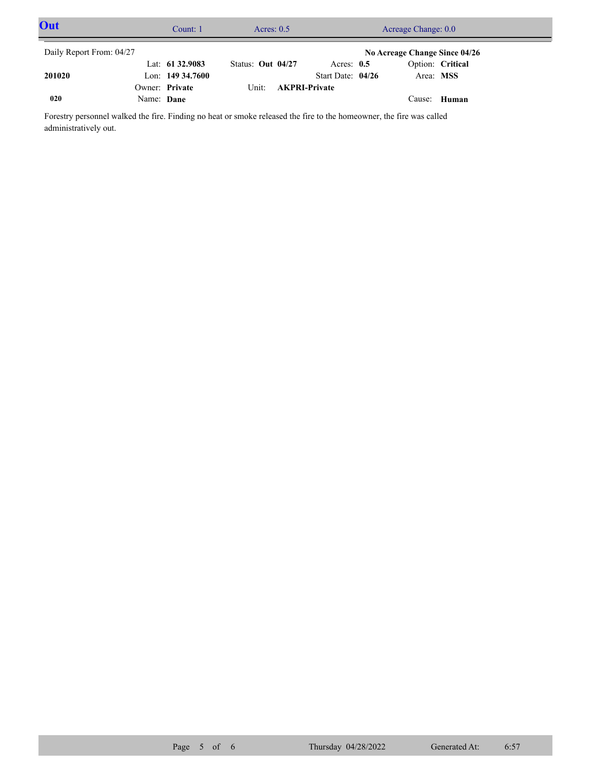| Out                      |            | Acres: $0.5$<br>Count: 1 |                     | Acreage Change: 0.0  |                     |  |                               |  |  |
|--------------------------|------------|--------------------------|---------------------|----------------------|---------------------|--|-------------------------------|--|--|
| Daily Report From: 04/27 |            |                          |                     |                      |                     |  | No Acreage Change Since 04/26 |  |  |
|                          |            | Lat: $61\,32.9083$       | Status: Out $04/27$ |                      | Acres: $0.5$        |  | Option: Critical              |  |  |
| 201020                   |            | Lon: $149\,34.7600$      |                     |                      | Start Date: $04/26$ |  | Area: MSS                     |  |  |
|                          |            | Owner: Private           | Unit:               | <b>AKPRI-Private</b> |                     |  |                               |  |  |
| 020                      | Name: Dane |                          |                     |                      |                     |  | Cause: Human                  |  |  |

Forestry personnel walked the fire. Finding no heat or smoke released the fire to the homeowner, the fire was called administratively out.